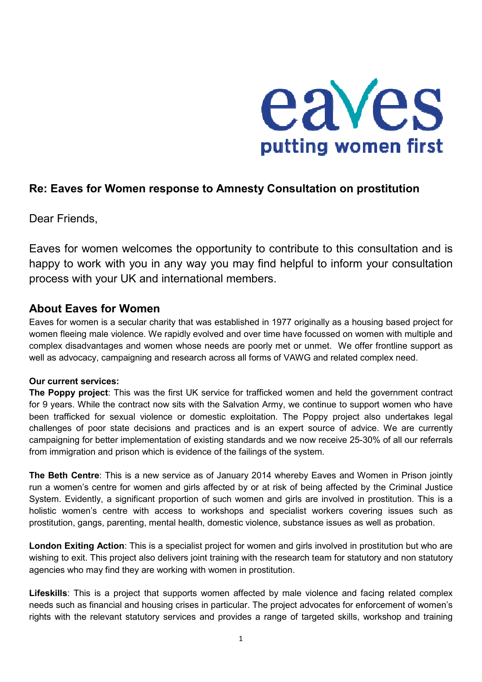

# **Re: Eaves for Women response to Amnesty Consultation on prostitution**

Dear Friends,

Eaves for women welcomes the opportunity to contribute to this consultation and is happy to work with you in any way you may find helpful to inform your consultation process with your UK and international members.

# **About Eaves for Women**

Eaves for women is a secular charity that was established in 1977 originally as a housing based project for women fleeing male violence. We rapidly evolved and over time have focussed on women with multiple and complex disadvantages and women whose needs are poorly met or unmet. We offer frontline support as well as advocacy, campaigning and research across all forms of VAWG and related complex need.

## **Our current services:**

**The Poppy project**: This was the first UK service for trafficked women and held the government contract for 9 years. While the contract now sits with the Salvation Army, we continue to support women who have been trafficked for sexual violence or domestic exploitation. The Poppy project also undertakes legal challenges of poor state decisions and practices and is an expert source of advice. We are currently campaigning for better implementation of existing standards and we now receive 25-30% of all our referrals from immigration and prison which is evidence of the failings of the system.

**The Beth Centre**: This is a new service as of January 2014 whereby Eaves and Women in Prison jointly run a women's centre for women and girls affected by or at risk of being affected by the Criminal Justice System. Evidently, a significant proportion of such women and girls are involved in prostitution. This is a holistic women's centre with access to workshops and specialist workers covering issues such as prostitution, gangs, parenting, mental health, domestic violence, substance issues as well as probation.

**London Exiting Action**: This is a specialist project for women and girls involved in prostitution but who are wishing to exit. This project also delivers joint training with the research team for statutory and non statutory agencies who may find they are working with women in prostitution.

**Lifeskills**: This is a project that supports women affected by male violence and facing related complex needs such as financial and housing crises in particular. The project advocates for enforcement of women's rights with the relevant statutory services and provides a range of targeted skills, workshop and training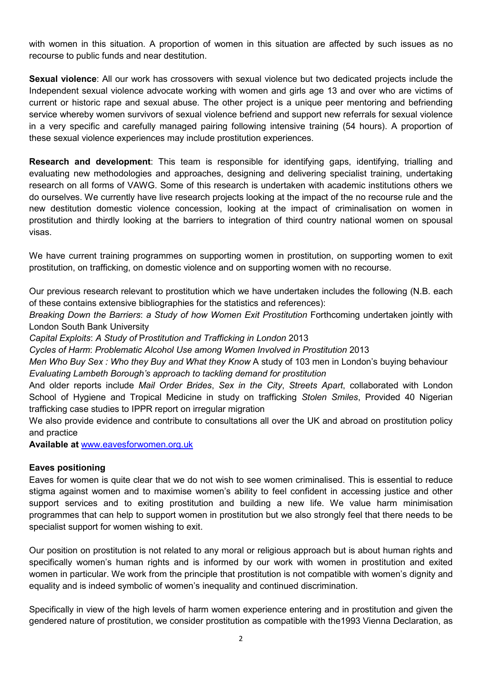with women in this situation. A proportion of women in this situation are affected by such issues as no recourse to public funds and near destitution.

**Sexual violence**: All our work has crossovers with sexual violence but two dedicated projects include the Independent sexual violence advocate working with women and girls age 13 and over who are victims of current or historic rape and sexual abuse. The other project is a unique peer mentoring and befriending service whereby women survivors of sexual violence befriend and support new referrals for sexual violence in a very specific and carefully managed pairing following intensive training (54 hours). A proportion of these sexual violence experiences may include prostitution experiences.

**Research and development**: This team is responsible for identifying gaps, identifying, trialling and evaluating new methodologies and approaches, designing and delivering specialist training, undertaking research on all forms of VAWG. Some of this research is undertaken with academic institutions others we do ourselves. We currently have live research projects looking at the impact of the no recourse rule and the new destitution domestic violence concession, looking at the impact of criminalisation on women in prostitution and thirdly looking at the barriers to integration of third country national women on spousal visas.

We have current training programmes on supporting women in prostitution, on supporting women to exit prostitution, on trafficking, on domestic violence and on supporting women with no recourse.

Our previous research relevant to prostitution which we have undertaken includes the following (N.B. each of these contains extensive bibliographies for the statistics and references):

*Breaking Down the Barriers*: *a Study of how Women Exit Prostitution* Forthcoming undertaken jointly with London South Bank University

*Capital Exploits*: *A Study of* P*rostitution and Trafficking in London* 2013

*Cycles of Harm*: *Problematic Alcohol Use among Women Involved in Prostitution* 2013

*Men Who Buy Sex: Who they Buy and What they Know A study of 103 men in London's buying behaviour Evaluating Lambeth Borough's approach to tackling demand for prostitution* 

And older reports include *Mail Order Brides*, *Sex in the City*, *Streets Apart*, collaborated with London School of Hygiene and Tropical Medicine in study on trafficking *Stolen Smiles*, Provided 40 Nigerian trafficking case studies to IPPR report on irregular migration

We also provide evidence and contribute to consultations all over the UK and abroad on prostitution policy and practice

**Available at** www.eavesforwomen.org.uk

#### **Eaves positioning**

Eaves for women is quite clear that we do not wish to see women criminalised. This is essential to reduce stigma against women and to maximise women's ability to feel confident in accessing justice and other support services and to exiting prostitution and building a new life. We value harm minimisation programmes that can help to support women in prostitution but we also strongly feel that there needs to be specialist support for women wishing to exit.

Our position on prostitution is not related to any moral or religious approach but is about human rights and specifically women's human rights and is informed by our work with women in prostitution and exited women in particular. We work from the principle that prostitution is not compatible with women's dignity and equality and is indeed symbolic of women's inequality and continued discrimination.

Specifically in view of the high levels of harm women experience entering and in prostitution and given the gendered nature of prostitution, we consider prostitution as compatible with the1993 Vienna Declaration, as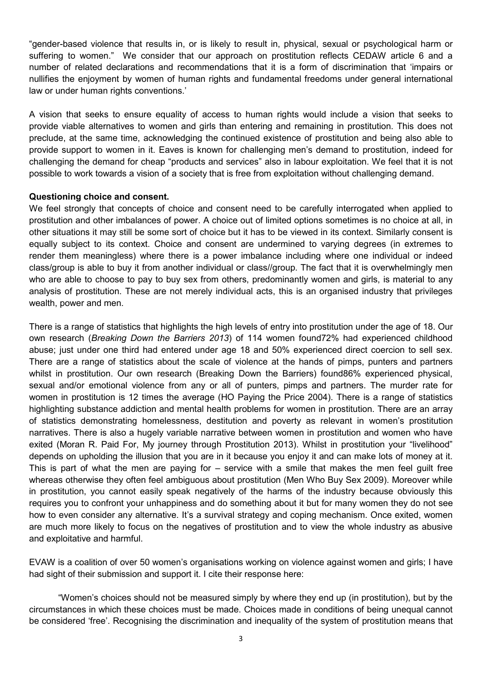"gender-based violence that results in, or is likely to result in, physical, sexual or psychological harm or suffering to women." We consider that our approach on prostitution reflects CEDAW article 6 and a number of related declarations and recommendations that it is a form of discrimination that 'impairs or nullifies the enjoyment by women of human rights and fundamental freedoms under general international law or under human rights conventions.'

A vision that seeks to ensure equality of access to human rights would include a vision that seeks to provide viable alternatives to women and girls than entering and remaining in prostitution. This does not preclude, at the same time, acknowledging the continued existence of prostitution and being also able to provide support to women in it. Eaves is known for challenging men's demand to prostitution, indeed for challenging the demand for cheap "products and services" also in labour exploitation. We feel that it is not possible to work towards a vision of a society that is free from exploitation without challenging demand.

#### **Questioning choice and consent.**

We feel strongly that concepts of choice and consent need to be carefully interrogated when applied to prostitution and other imbalances of power. A choice out of limited options sometimes is no choice at all, in other situations it may still be some sort of choice but it has to be viewed in its context. Similarly consent is equally subject to its context. Choice and consent are undermined to varying degrees (in extremes to render them meaningless) where there is a power imbalance including where one individual or indeed class/group is able to buy it from another individual or class//group. The fact that it is overwhelmingly men who are able to choose to pay to buy sex from others, predominantly women and girls, is material to any analysis of prostitution. These are not merely individual acts, this is an organised industry that privileges wealth, power and men.

There is a range of statistics that highlights the high levels of entry into prostitution under the age of 18. Our own research (*Breaking Down the Barriers 2013*) of 114 women found72% had experienced childhood abuse; just under one third had entered under age 18 and 50% experienced direct coercion to sell sex. There are a range of statistics about the scale of violence at the hands of pimps, punters and partners whilst in prostitution. Our own research (Breaking Down the Barriers) found86% experienced physical, sexual and/or emotional violence from any or all of punters, pimps and partners. The murder rate for women in prostitution is 12 times the average (HO Paying the Price 2004). There is a range of statistics highlighting substance addiction and mental health problems for women in prostitution. There are an array of statistics demonstrating homelessness, destitution and poverty as relevant in women's prostitution narratives. There is also a hugely variable narrative between women in prostitution and women who have exited (Moran R. Paid For, My journey through Prostitution 2013). Whilst in prostitution your "livelihood" depends on upholding the illusion that you are in it because you enjoy it and can make lots of money at it. This is part of what the men are paying for – service with a smile that makes the men feel guilt free whereas otherwise they often feel ambiguous about prostitution (Men Who Buy Sex 2009). Moreover while in prostitution, you cannot easily speak negatively of the harms of the industry because obviously this requires you to confront your unhappiness and do something about it but for many women they do not see how to even consider any alternative. It's a survival strategy and coping mechanism. Once exited, women are much more likely to focus on the negatives of prostitution and to view the whole industry as abusive and exploitative and harmful.

EVAW is a coalition of over 50 women's organisations working on violence against women and girls; I have had sight of their submission and support it. I cite their response here:

"Women's choices should not be measured simply by where they end up (in prostitution), but by the circumstances in which these choices must be made. Choices made in conditions of being unequal cannot be considered 'free'. Recognising the discrimination and inequality of the system of prostitution means that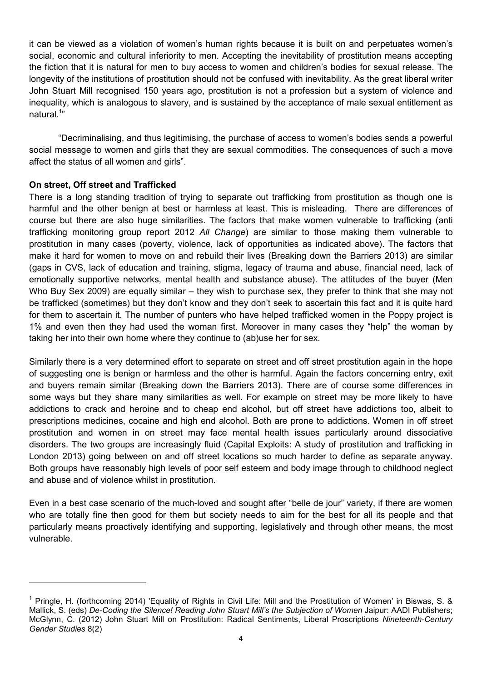it can be viewed as a violation of women's human rights because it is built on and perpetuates women's social, economic and cultural inferiority to men. Accepting the inevitability of prostitution means accepting the fiction that it is natural for men to buy access to women and children's bodies for sexual release. The longevity of the institutions of prostitution should not be confused with inevitability. As the great liberal writer John Stuart Mill recognised 150 years ago, prostitution is not a profession but a system of violence and inequality, which is analogous to slavery, and is sustained by the acceptance of male sexual entitlement as natural.<sup>1</sup>"

"Decriminalising, and thus legitimising, the purchase of access to women's bodies sends a powerful social message to women and girls that they are sexual commodities. The consequences of such a move affect the status of all women and girls".

### **On street, Off street and Trafficked**

 $\overline{a}$ 

There is a long standing tradition of trying to separate out trafficking from prostitution as though one is harmful and the other benign at best or harmless at least. This is misleading. There are differences of course but there are also huge similarities. The factors that make women vulnerable to trafficking (anti trafficking monitoring group report 2012 *All Change*) are similar to those making them vulnerable to prostitution in many cases (poverty, violence, lack of opportunities as indicated above). The factors that make it hard for women to move on and rebuild their lives (Breaking down the Barriers 2013) are similar (gaps in CVS, lack of education and training, stigma, legacy of trauma and abuse, financial need, lack of emotionally supportive networks, mental health and substance abuse). The attitudes of the buyer (Men Who Buy Sex 2009) are equally similar – they wish to purchase sex, they prefer to think that she may not be trafficked (sometimes) but they don't know and they don't seek to ascertain this fact and it is quite hard for them to ascertain it. The number of punters who have helped trafficked women in the Poppy project is 1% and even then they had used the woman first. Moreover in many cases they "help" the woman by taking her into their own home where they continue to (ab)use her for sex.

Similarly there is a very determined effort to separate on street and off street prostitution again in the hope of suggesting one is benign or harmless and the other is harmful. Again the factors concerning entry, exit and buyers remain similar (Breaking down the Barriers 2013). There are of course some differences in some ways but they share many similarities as well. For example on street may be more likely to have addictions to crack and heroine and to cheap end alcohol, but off street have addictions too, albeit to prescriptions medicines, cocaine and high end alcohol. Both are prone to addictions. Women in off street prostitution and women in on street may face mental health issues particularly around dissociative disorders. The two groups are increasingly fluid (Capital Exploits: A study of prostitution and trafficking in London 2013) going between on and off street locations so much harder to define as separate anyway. Both groups have reasonably high levels of poor self esteem and body image through to childhood neglect and abuse and of violence whilst in prostitution.

Even in a best case scenario of the much-loved and sought after "belle de jour" variety, if there are women who are totally fine then good for them but society needs to aim for the best for all its people and that particularly means proactively identifying and supporting, legislatively and through other means, the most vulnerable.

<sup>&</sup>lt;sup>1</sup> Pringle, H. (forthcoming 2014) 'Equality of Rights in Civil Life: Mill and the Prostitution of Women' in Biswas, S. & Mallick, S. (eds) *De-Coding the Silence! Reading John Stuart Mill's the Subjection of Women* Jaipur: AADI Publishers; McGlynn, C. (2012) John Stuart Mill on Prostitution: Radical Sentiments, Liberal Proscriptions *Nineteenth-Century Gender Studies* 8(2)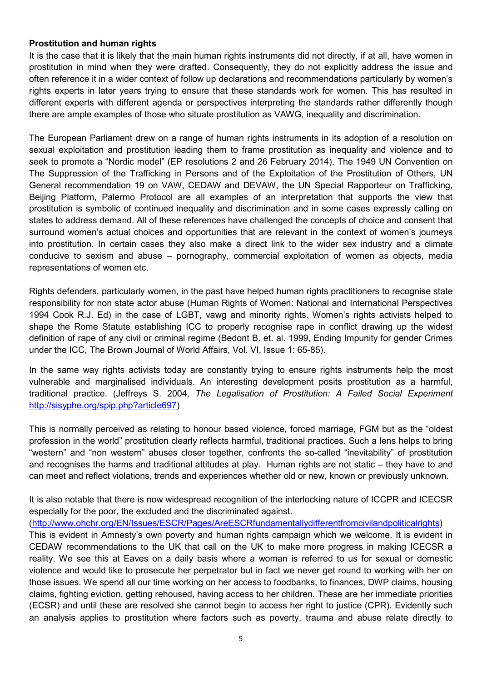#### **Prostitution and human rights**

It is the case that it is likely that the main human rights instruments did not directly, if at all, have women in prostitution in mind when they were drafted. Consequently, they do not explicitly address the issue and often reference it in a wider context of follow up declarations and recommendations particularly by women's rights experts in later years trying to ensure that these standards work for women. This has resulted in different experts with different agenda or perspectives interpreting the standards rather differently though there are ample examples of those who situate prostitution as VAWG, inequality and discrimination.

The European Parliament drew on a range of human rights instruments in its adoption of a resolution on sexual exploitation and prostitution leading them to frame prostitution as inequality and violence and to seek to promote a "Nordic model" (EP resolutions 2 and 26 February 2014). The 1949 UN Convention on The Suppression of the Trafficking in Persons and of the Exploitation of the Prostitution of Others, UN General recommendation 19 on VAW, CEDAW and DEVAW, the UN Special Rapporteur on Trafficking, Beijing Platform, Palermo Protocol are all examples of an interpretation that supports the view that prostitution is symbolic of continued inequality and discrimination and in some cases expressly calling on states to address demand. All of these references have challenged the concepts of choice and consent that surround women's actual choices and opportunities that are relevant in the context of women's journeys into prostitution. In certain cases they also make a direct link to the wider sex industry and a climate conducive to sexism and abuse – pornography, commercial exploitation of women as objects, media representations of women etc.

Rights defenders, particularly women, in the past have helped human rights practitioners to recognise state responsibility for non state actor abuse (Human Rights of Women: National and International Perspectives 1994 Cook R.J. Ed) in the case of LGBT, vawg and minority rights. Women's rights activists helped to shape the Rome Statute establishing ICC to properly recognise rape in conflict drawing up the widest definition of rape of any civil or criminal regime (Bedont B. et. al. 1999, Ending Impunity for gender Crimes under the ICC, The Brown Journal of World Affairs, Vol. VI, Issue 1: 65-85).

In the same way rights activists today are constantly trying to ensure rights instruments help the most vulnerable and marginalised individuals. An interesting development posits prostitution as a harmful, traditional practice. (Jeffreys S. 2004, *The Legalisation of Prostitution: A Failed Social Experiment* http://sisyphe.org/spip.php?article697)

This is normally perceived as relating to honour based violence, forced marriage, FGM but as the "oldest profession in the world" prostitution clearly reflects harmful, traditional practices. Such a lens helps to bring "western" and "non western" abuses closer together, confronts the so-called "inevitability" of prostitution and recognises the harms and traditional attitudes at play. Human rights are not static – they have to and can meet and reflect violations, trends and experiences whether old or new, known or previously unknown.

It is also notable that there is now widespread recognition of the interlocking nature of ICCPR and ICECSR especially for the poor, the excluded and the discriminated against.

(http://www.ohchr.org/EN/Issues/ESCR/Pages/AreESCRfundamentallydifferentfromcivilandpoliticalrights)

This is evident in Amnesty's own poverty and human rights campaign which we welcome. It is evident in CEDAW recommendations to the UK that call on the UK to make more progress in making ICECSR a reality. We see this at Eaves on a daily basis where a woman is referred to us for sexual or domestic violence and would like to prosecute her perpetrator but in fact we never get round to working with her on those issues. We spend all our time working on her access to foodbanks, to finances, DWP claims, housing claims, fighting eviction, getting rehoused, having access to her children. These are her immediate priorities (ECSR) and until these are resolved she cannot begin to access her right to justice (CPR). Evidently such an analysis applies to prostitution where factors such as poverty, trauma and abuse relate directly to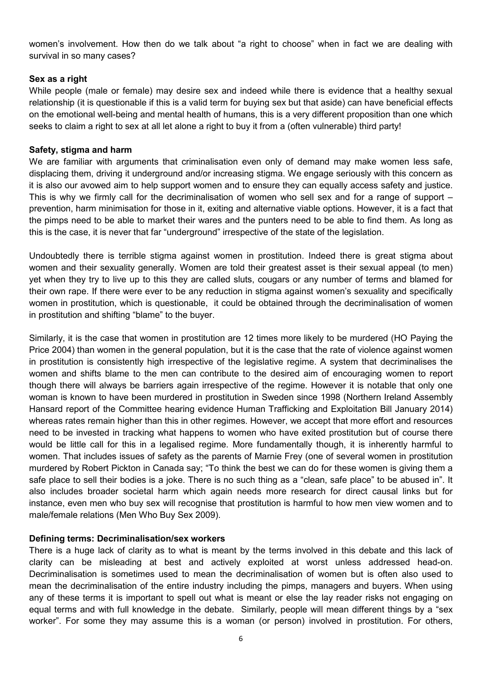women's involvement. How then do we talk about "a right to choose" when in fact we are dealing with survival in so many cases?

#### **Sex as a right**

While people (male or female) may desire sex and indeed while there is evidence that a healthy sexual relationship (it is questionable if this is a valid term for buying sex but that aside) can have beneficial effects on the emotional well-being and mental health of humans, this is a very different proposition than one which seeks to claim a right to sex at all let alone a right to buy it from a (often vulnerable) third party!

#### **Safety, stigma and harm**

We are familiar with arguments that criminalisation even only of demand may make women less safe, displacing them, driving it underground and/or increasing stigma. We engage seriously with this concern as it is also our avowed aim to help support women and to ensure they can equally access safety and justice. This is why we firmly call for the decriminalisation of women who sell sex and for a range of support – prevention, harm minimisation for those in it, exiting and alternative viable options. However, it is a fact that the pimps need to be able to market their wares and the punters need to be able to find them. As long as this is the case, it is never that far "underground" irrespective of the state of the legislation.

Undoubtedly there is terrible stigma against women in prostitution. Indeed there is great stigma about women and their sexuality generally. Women are told their greatest asset is their sexual appeal (to men) yet when they try to live up to this they are called sluts, cougars or any number of terms and blamed for their own rape. If there were ever to be any reduction in stigma against women's sexuality and specifically women in prostitution, which is questionable, it could be obtained through the decriminalisation of women in prostitution and shifting "blame" to the buyer.

Similarly, it is the case that women in prostitution are 12 times more likely to be murdered (HO Paying the Price 2004) than women in the general population, but it is the case that the rate of violence against women in prostitution is consistently high irrespective of the legislative regime. A system that decriminalises the women and shifts blame to the men can contribute to the desired aim of encouraging women to report though there will always be barriers again irrespective of the regime. However it is notable that only one woman is known to have been murdered in prostitution in Sweden since 1998 (Northern Ireland Assembly Hansard report of the Committee hearing evidence Human Trafficking and Exploitation Bill January 2014) whereas rates remain higher than this in other regimes. However, we accept that more effort and resources need to be invested in tracking what happens to women who have exited prostitution but of course there would be little call for this in a legalised regime. More fundamentally though, it is inherently harmful to women. That includes issues of safety as the parents of Marnie Frey (one of several women in prostitution murdered by Robert Pickton in Canada say; "To think the best we can do for these women is giving them a safe place to sell their bodies is a joke. There is no such thing as a "clean, safe place" to be abused in". It also includes broader societal harm which again needs more research for direct causal links but for instance, even men who buy sex will recognise that prostitution is harmful to how men view women and to male/female relations (Men Who Buy Sex 2009).

#### **Defining terms: Decriminalisation/sex workers**

There is a huge lack of clarity as to what is meant by the terms involved in this debate and this lack of clarity can be misleading at best and actively exploited at worst unless addressed head-on. Decriminalisation is sometimes used to mean the decriminalisation of women but is often also used to mean the decriminalisation of the entire industry including the pimps, managers and buyers. When using any of these terms it is important to spell out what is meant or else the lay reader risks not engaging on equal terms and with full knowledge in the debate. Similarly, people will mean different things by a "sex worker". For some they may assume this is a woman (or person) involved in prostitution. For others,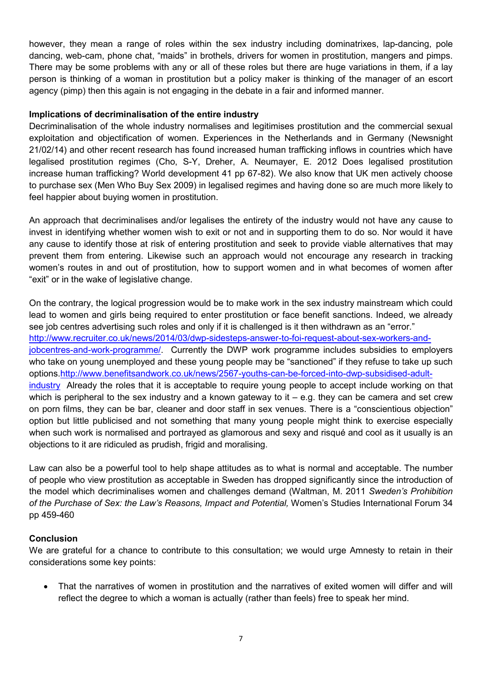however, they mean a range of roles within the sex industry including dominatrixes, lap-dancing, pole dancing, web-cam, phone chat, "maids" in brothels, drivers for women in prostitution, mangers and pimps. There may be some problems with any or all of these roles but there are huge variations in them, if a lay person is thinking of a woman in prostitution but a policy maker is thinking of the manager of an escort agency (pimp) then this again is not engaging in the debate in a fair and informed manner.

### **Implications of decriminalisation of the entire industry**

Decriminalisation of the whole industry normalises and legitimises prostitution and the commercial sexual exploitation and objectification of women. Experiences in the Netherlands and in Germany (Newsnight 21/02/14) and other recent research has found increased human trafficking inflows in countries which have legalised prostitution regimes (Cho, S-Y, Dreher, A. Neumayer, E. 2012 Does legalised prostitution increase human trafficking? World development 41 pp 67-82). We also know that UK men actively choose to purchase sex (Men Who Buy Sex 2009) in legalised regimes and having done so are much more likely to feel happier about buying women in prostitution.

An approach that decriminalises and/or legalises the entirety of the industry would not have any cause to invest in identifying whether women wish to exit or not and in supporting them to do so. Nor would it have any cause to identify those at risk of entering prostitution and seek to provide viable alternatives that may prevent them from entering. Likewise such an approach would not encourage any research in tracking women's routes in and out of prostitution, how to support women and in what becomes of women after "exit" or in the wake of legislative change.

On the contrary, the logical progression would be to make work in the sex industry mainstream which could lead to women and girls being required to enter prostitution or face benefit sanctions. Indeed, we already see job centres advertising such roles and only if it is challenged is it then withdrawn as an "error." http://www.recruiter.co.uk/news/2014/03/dwp-sidesteps-answer-to-foi-request-about-sex-workers-andjobcentres-and-work-programme/. Currently the DWP work programme includes subsidies to employers who take on young unemployed and these young people may be "sanctioned" if they refuse to take up such options.http://www.benefitsandwork.co.uk/news/2567-youths-can-be-forced-into-dwp-subsidised-adultindustry Already the roles that it is acceptable to require young people to accept include working on that which is peripheral to the sex industry and a known gateway to it  $-$  e.g. they can be camera and set crew on porn films, they can be bar, cleaner and door staff in sex venues. There is a "conscientious objection" option but little publicised and not something that many young people might think to exercise especially when such work is normalised and portrayed as glamorous and sexy and risqué and cool as it usually is an objections to it are ridiculed as prudish, frigid and moralising.

Law can also be a powerful tool to help shape attitudes as to what is normal and acceptable. The number of people who view prostitution as acceptable in Sweden has dropped significantly since the introduction of the model which decriminalises women and challenges demand (Waltman, M. 2011 *Sweden's Prohibition of the Purchase of Sex: the Law's Reasons, Impact and Potential,* Women's Studies International Forum 34 pp 459-460

## **Conclusion**

We are grateful for a chance to contribute to this consultation; we would urge Amnesty to retain in their considerations some key points:

• That the narratives of women in prostitution and the narratives of exited women will differ and will reflect the degree to which a woman is actually (rather than feels) free to speak her mind.